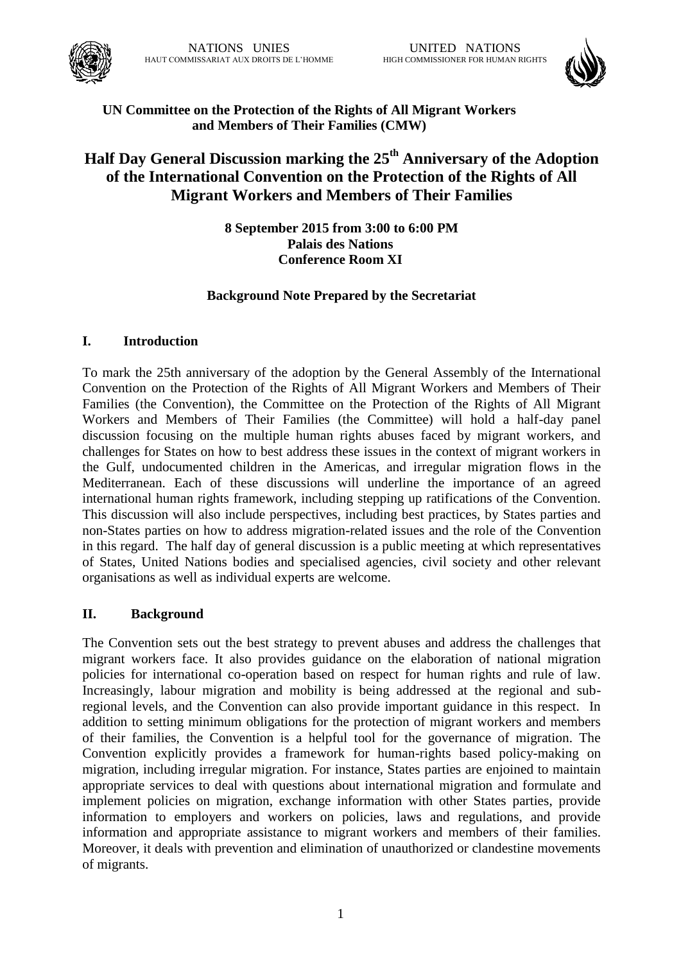



## **UN Committee on the Protection of the Rights of All Migrant Workers and Members of Their Families (CMW)**

# **Half Day General Discussion marking the 25th Anniversary of the Adoption of the International Convention on the Protection of the Rights of All Migrant Workers and Members of Their Families**

**8 September 2015 from 3:00 to 6:00 PM Palais des Nations Conference Room XI**

## **Background Note Prepared by the Secretariat**

#### **I. Introduction**

To mark the 25th anniversary of the adoption by the General Assembly of the International Convention on the Protection of the Rights of All Migrant Workers and Members of Their Families (the Convention), the Committee on the Protection of the Rights of All Migrant Workers and Members of Their Families (the Committee) will hold a half-day panel discussion focusing on the multiple human rights abuses faced by migrant workers, and challenges for States on how to best address these issues in the context of migrant workers in the Gulf, undocumented children in the Americas, and irregular migration flows in the Mediterranean. Each of these discussions will underline the importance of an agreed international human rights framework, including stepping up ratifications of the Convention. This discussion will also include perspectives, including best practices, by States parties and non-States parties on how to address migration-related issues and the role of the Convention in this regard. The half day of general discussion is a public meeting at which representatives of States, United Nations bodies and specialised agencies, civil society and other relevant organisations as well as individual experts are welcome.

#### **II. Background**

The Convention sets out the best strategy to prevent abuses and address the challenges that migrant workers face. It also provides guidance on the elaboration of national migration policies for international co-operation based on respect for human rights and rule of law. Increasingly, labour migration and mobility is being addressed at the regional and subregional levels, and the Convention can also provide important guidance in this respect. In addition to setting minimum obligations for the protection of migrant workers and members of their families, the Convention is a helpful tool for the governance of migration. The Convention explicitly provides a framework for human-rights based policy-making on migration, including irregular migration. For instance, States parties are enjoined to maintain appropriate services to deal with questions about international migration and formulate and implement policies on migration, exchange information with other States parties, provide information to employers and workers on policies, laws and regulations, and provide information and appropriate assistance to migrant workers and members of their families. Moreover, it deals with prevention and elimination of unauthorized or clandestine movements of migrants.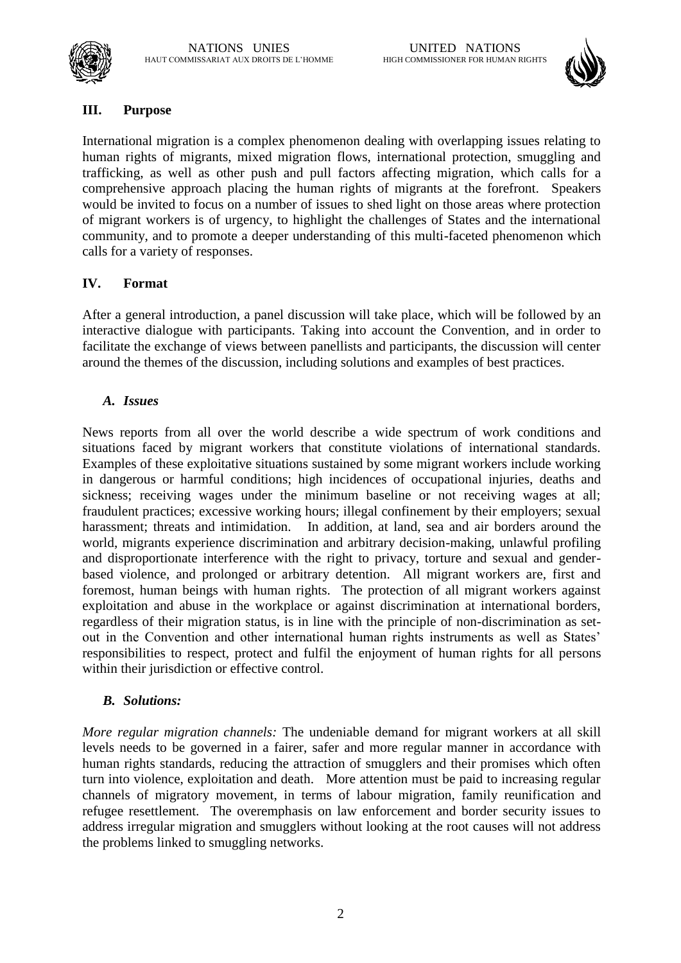



#### **III. Purpose**

International migration is a complex phenomenon dealing with overlapping issues relating to human rights of migrants, mixed migration flows, international protection, smuggling and trafficking, as well as other push and pull factors affecting migration, which calls for a comprehensive approach placing the human rights of migrants at the forefront. Speakers would be invited to focus on a number of issues to shed light on those areas where protection of migrant workers is of urgency, to highlight the challenges of States and the international community, and to promote a deeper understanding of this multi-faceted phenomenon which calls for a variety of responses.

#### **IV. Format**

After a general introduction, a panel discussion will take place, which will be followed by an interactive dialogue with participants. Taking into account the Convention, and in order to facilitate the exchange of views between panellists and participants, the discussion will center around the themes of the discussion, including solutions and examples of best practices.

#### *A. Issues*

News reports from all over the world describe a wide spectrum of work conditions and situations faced by migrant workers that constitute violations of international standards. Examples of these exploitative situations sustained by some migrant workers include working in dangerous or harmful conditions; high incidences of occupational injuries, deaths and sickness; receiving wages under the minimum baseline or not receiving wages at all; fraudulent practices; excessive working hours; illegal confinement by their employers; sexual harassment; threats and intimidation. In addition, at land, sea and air borders around the world, migrants experience discrimination and arbitrary decision-making, unlawful profiling and disproportionate interference with the right to privacy, torture and sexual and genderbased violence, and prolonged or arbitrary detention. All migrant workers are, first and foremost, human beings with human rights. The protection of all migrant workers against exploitation and abuse in the workplace or against discrimination at international borders, regardless of their migration status, is in line with the principle of non-discrimination as setout in the Convention and other international human rights instruments as well as States' responsibilities to respect, protect and fulfil the enjoyment of human rights for all persons within their jurisdiction or effective control.

#### *B. Solutions:*

*More regular migration channels:* The undeniable demand for migrant workers at all skill levels needs to be governed in a fairer, safer and more regular manner in accordance with human rights standards, reducing the attraction of smugglers and their promises which often turn into violence, exploitation and death. More attention must be paid to increasing regular channels of migratory movement, in terms of labour migration, family reunification and refugee resettlement. The overemphasis on law enforcement and border security issues to address irregular migration and smugglers without looking at the root causes will not address the problems linked to smuggling networks.